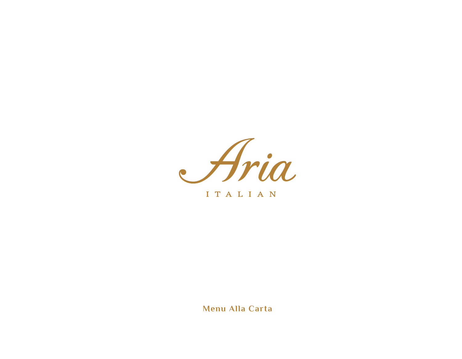Aria

ITALIAN

**Menu Alla Carta**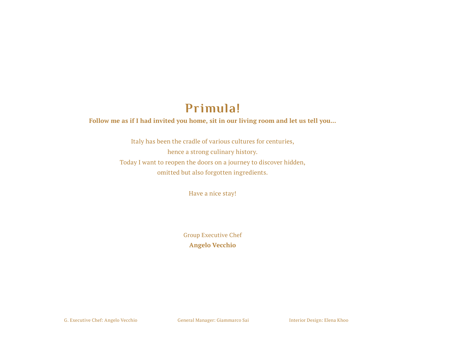# **Primula!**

#### **Follow me as if I had invited you home, sit in our living room and let us tell you...**

Italy has been the cradle of various cultures for centuries, hence a strong culinary history. Today I want to reopen the doors on a journey to discover hidden, omitted but also forgotten ingredients.

Have a nice stay!

Group Executive Chef **Angelo Vecchio**

G. Executive Chef: Angelo Vecchio General Manager: Giammarco Sai Interior Design: Elena Khoo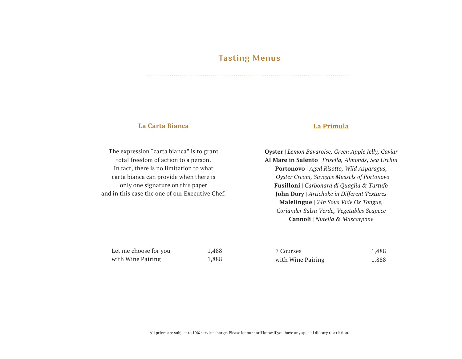#### **Tasting Menus**

#### **La Carta Bianca**

The expression "carta bianca" is to grant total freedom of action to a person. In fact, there is no limitation to what carta bianca can provide when there is only one signature on this paper and in this case the one of our Executive Chef.

#### **La Primula**

**Oyster** | *Lemon Bavaroise, Green Apple Jelly, Caviar* **Al Mare in Salento** | *Frisella, Almonds, Sea Urchin* **Portonovo** | *Aged Risotto, Wild Asparagus, Oyster Cream, Savages Mussels of Portonovo* **Fusilloni** | *Carbonara di Quaglia & Tartufo* **John Dory** | *Artichoke in Different Textures* **Malelingue** | *24h Sous Vide Ox Tongue, Coriander Salsa Verde, Vegetables Scapece* **Cannoli** | *Nutella & Mascarpone*

| Let me choose for you | 1,488 | 7 Courses         | 1,488 |
|-----------------------|-------|-------------------|-------|
| with Wine Pairing     | 1,888 | with Wine Pairing | 1,888 |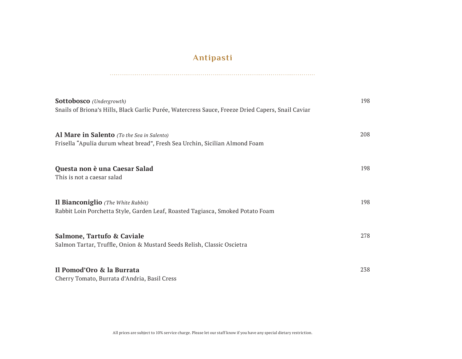# **Antipasti**

| <b>Sottobosco</b> (Undergrowth)<br>Snails of Briona's Hills, Black Garlic Purée, Watercress Sauce, Freeze Dried Capers, Snail Caviar | 198 |
|--------------------------------------------------------------------------------------------------------------------------------------|-----|
| Al Mare in Salento (To the Sea in Salento)<br>Frisella "Apulia durum wheat bread", Fresh Sea Urchin, Sicilian Almond Foam            | 208 |
| Questa non è una Caesar Salad<br>This is not a caesar salad                                                                          | 198 |
| Il Bianconiglio (The White Rabbit)<br>Rabbit Loin Porchetta Style, Garden Leaf, Roasted Tagiasca, Smoked Potato Foam                 | 198 |
| Salmone, Tartufo & Caviale<br>Salmon Tartar, Truffle, Onion & Mustard Seeds Relish, Classic Oscietra                                 | 278 |
| Il Pomod'Oro & la Burrata<br>Cherry Tomato, Burrata d'Andria, Basil Cress                                                            | 238 |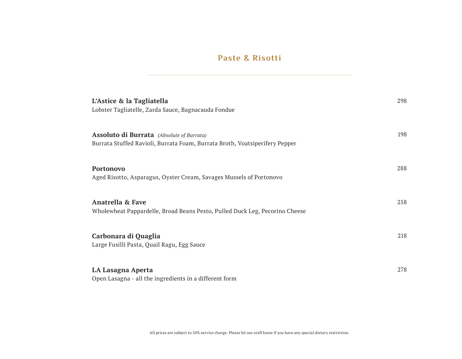# **Paste & Risotti**

| L'Astice & la Tagliatella<br>Lobster Tagliatelle, Zarda Sauce, Bagnacauda Fondue                                                | 298 |
|---------------------------------------------------------------------------------------------------------------------------------|-----|
| <b>Assoluto di Burrata</b> (Absolute of Burrata)<br>Burrata Stuffed Ravioli, Burrata Foam, Burrata Broth, Voatsiperifery Pepper | 198 |
| <b>Portonovo</b><br>Aged Risotto, Asparagus, Oyster Cream, Savages Mussels of Portonovo                                         | 288 |
| Anatrella & Fave<br>Wholewheat Pappardelle, Broad Beans Pesto, Pulled Duck Leg, Pecorino Cheese                                 | 258 |
| Carbonara di Quaglia<br>Large Fusilli Pasta, Quail Ragu, Egg Sauce                                                              | 218 |
| LA Lasagna Aperta<br>Open Lasagna - all the ingredients in a different form                                                     | 278 |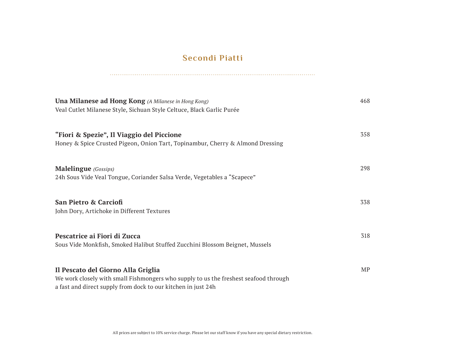#### **Secondi Piatti**

| <b>Una Milanese ad Hong Kong</b> (A Milanese in Hong Kong)<br>Veal Cutlet Milanese Style, Sichuan Style Celtuce, Black Garlic Purée                                                         | 468       |
|---------------------------------------------------------------------------------------------------------------------------------------------------------------------------------------------|-----------|
| "Fiori & Spezie", Il Viaggio del Piccione<br>Honey & Spice Crusted Pigeon, Onion Tart, Topinambur, Cherry & Almond Dressing                                                                 | 358       |
| <b>Malelingue</b> (Gossips)<br>24h Sous Vide Veal Tongue, Coriander Salsa Verde, Vegetables a "Scapece"                                                                                     | 298       |
| <b>San Pietro &amp; Carciofi</b><br>John Dory, Artichoke in Different Textures                                                                                                              | 338       |
| Pescatrice ai Fiori di Zucca<br>Sous Vide Monkfish, Smoked Halibut Stuffed Zucchini Blossom Beignet, Mussels                                                                                | 318       |
| Il Pescato del Giorno Alla Griglia<br>We work closely with small Fishmongers who supply to us the freshest seafood through<br>a fast and direct supply from dock to our kitchen in just 24h | <b>MP</b> |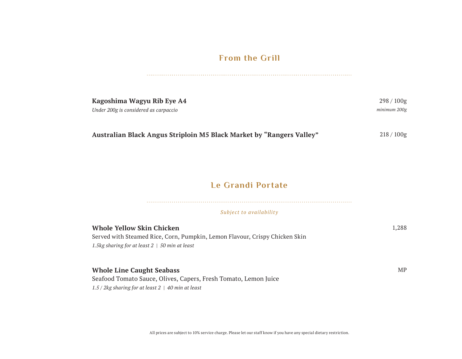# **From the Grill**

| Kagoshima Wagyu Rib Eye A4            | $298/100$ g  |
|---------------------------------------|--------------|
| Under 200g is considered as carpaccio | minimum 200g |

| <b>Australian Black Angus Striploin M5 Black Market by "Rangers Valley"</b> | 218/100g |
|-----------------------------------------------------------------------------|----------|
|                                                                             |          |

### **Le Grandi Portate**

| Subject to availability                                                     |       |
|-----------------------------------------------------------------------------|-------|
| Whole Yellow Skin Chicken                                                   | 1,288 |
| Served with Steamed Rice, Corn, Pumpkin, Lemon Flavour, Crispy Chicken Skin |       |
| 1.5kg sharing for at least $2 \mid 50$ min at least                         |       |
| <b>Whole Line Caught Seabass</b>                                            | MP    |
| Seafood Tomato Sauce, Olives, Capers, Fresh Tomato, Lemon Juice             |       |

*1.5 / 2kg sharing for at least 2 | 40 min at least*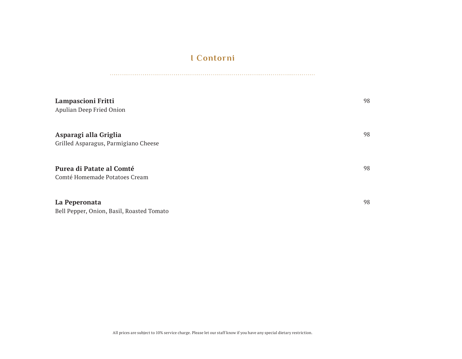### **I Contorni**

| Lampascioni Fritti<br>Apulian Deep Fried Onion                | 98 |
|---------------------------------------------------------------|----|
| Asparagi alla Griglia<br>Grilled Asparagus, Parmigiano Cheese | 98 |
| Purea di Patate al Comté<br>Comté Homemade Potatoes Cream     | 98 |
| La Peperonata<br>Bell Pepper, Onion, Basil, Roasted Tomato    | 98 |